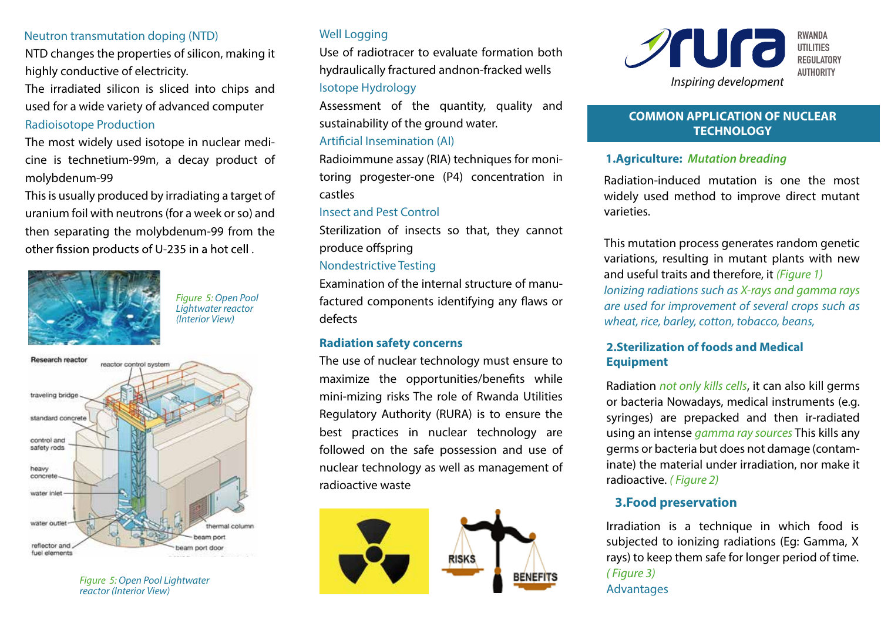#### Neutron transmutation doping (NTD)

NTD changes the properties of silicon, making it highly conductive of electricity.

The irradiated silicon is sliced into chips and used for a wide variety of advanced computer **Radioisotope Production** 

The most widely used isotope in nuclear medicine is technetium-99m, a decay product of molvbdenum-99

This is usually produced by irradiating a target of uranium foil with neutrons (for a week or so) and then separating the molybdenum-99 from the other fission products of U-235 in a hot cell.



**Figure 5: Open Pool** Lightwater reactor (*Interior View*)



**Figure 5: Open Pool Liahtwater** reactor (Interior View)

# **Well Logging**

Use of radiotracer to evaluate formation both hydraulically fractured andnon-fracked wells **Isotope Hydrology** 

Assessment of the quantity, quality and sustainability of the ground water.

## Artificial Insemination (AI)

Radioimmune assay (RIA) techniques for monitoring progester-one (P4) concentration in castles

#### **Insect and Pest Control**

Sterilization of insects so that, they cannot produce offspring

#### **Nondestrictive Testing**

Examination of the internal structure of manufactured components identifying any flaws or defects

#### **Radiation safety concerns**

The use of nuclear technology must ensure to maximize the opportunities/benefits while mini-mizing risks The role of Rwanda Utilities Regulatory Authority (RURA) is to ensure the best practices in nuclear technology are followed on the safe possession and use of nuclear technology as well as management of radioactive waste





## **COMMON APPLICATION OF NUCLEAR TECHNOLOGY**

## **1.Agriculture: Mutation breading**

Radiation-induced mutation is one the most widely used method to improve direct mutant varieties

This mutation process generates random genetic variations, resulting in mutant plants with new and useful traits and therefore, it (Figure 1) Ionizing radiations such as X-rays and gamma rays are used for improvement of several crops such as wheat, rice, barley, cotton, tobacco, beans,

## 2. Sterilization of foods and Medical **Equipment**

Radiation not only kills cells, it can also kill germs or bacteria Nowadays, medical instruments (e.g. syringes) are prepacked and then ir-radiated using an intense *gamma ray sources* This kills any germs or bacteria but does not damage (contaminate) the material under irradiation, nor make it radioactive. (Figure 2)

# **3.Food preservation**

Irradiation is a technique in which food is subjected to ionizing radiations (Eq: Gamma, X rays) to keep them safe for longer period of time. *(Figure 3)* Advantages